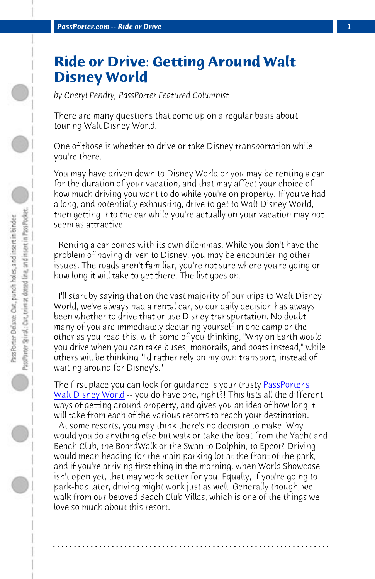*PassPorter.com -- Ride or Drive* 

## **Ride or Drive: Getting Around Walt Disney World**

*by Cheryl Pendry, PassPorter Featured Columnist*

There are many questions that come up on a regular basis about touring Walt Disney World.

One of those is whether to drive or take Disney transportation while you're there.

You may have driven down to Disney World or you may be renting a car for the duration of your vacation, and that may affect your choice of how much driving you want to do while you're on property. If you've had a long, and potentially exhausting, drive to get to Walt Disney World, then getting into the car while you're actually on your v[acation may](http://www.passporterstore.com/store/wdw.aspx) not [seem as attractive.](http://www.passporterstore.com/store/wdw.aspx)

 Renting a car comes with its own dilemmas. While you don't have the problem of having driven to Disney, you may be encountering other issues. The roads aren't familiar, you're not sure where you're going or how long it will take to get there. The list goes on.

 I'll start by saying that on the vast majority of our trips to Walt Disney World, we've always had a rental car, so our daily decision has always been whether to drive that or use Disney transportation. No doubt many of you are immediately declaring yourself in one camp or the other as you read this, with some of you thinking, "Why on Earth would you drive when you can take buses, monorails, and boats instead," while others will be thinking "I'd rather rely on my own transport, instead of waiting around for Disney's."

The first place you can look for guidance is your trusty PassPorter's Walt Disney World -- you do have one, right?! This lists all the different ways of getting around property, and gives you an idea of how long it will take from each of the various resorts to reach your destination. At some resorts, you may think there's no decision to make. Why would you do anything else but walk or take the boat from the Yacht and Beach Club, the BoardWalk or the Swan to Dolphin, to Epcot? Driving would mean heading for the main parking lot at the front of the park, and if you're arriving first thing in the morning, when World Showcase isn't open yet, that may work better for you. Equally, if you're going to park-hop later, driving might work just as well. Generally though, we walk from our beloved Beach Club Villas, which is one of the things we love so much about this resort.

**. . . . . . . . . . . . . . . . . . . . . . . . . . . . . . . . . . . . . . . . . . . . . . . . . . . . . . . . . . . . . . . . . .**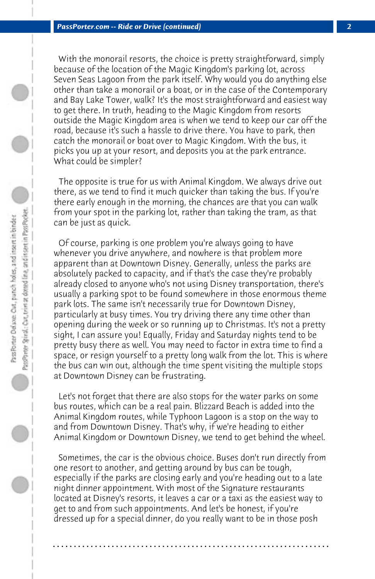With the monorail resorts, the choice is pretty straightforward, simply because of the location of the Magic Kingdom's parking lot, across Seven Seas Lagoon from the park itself. Why would you do anything else other than take a monorail or a boat, or in the case of the Contemporary and Bay Lake Tower, walk? It's the most straightforward and easiest way to get there. In truth, heading to the Magic Kingdom from resorts outside the Magic Kingdom area is when we tend to keep our car off the road, because it's such a hassle to drive there. You have to park, then catch the monorail or boat over to Magic Kingdom. With the bus, it picks you up at your resort, and deposits you at the park entrance. What could be simpler?

 The opposite is true for us with Animal Kingdom. We always drive out there, as we tend to find it much quicker than taking the bus. If you're there early enough in the morning, the chances are that you can walk from your spot in the parking lot, rather than taking the tram, as that can be just as quick.

 Of course, parking is one problem you're always going to have whenever you drive anywhere, and nowhere is that problem more apparent than at Downtown Disney. Generally, unless the parks are absolutely packed to capacity, and if that's the case they're probably already closed to anyone who's not using Disney transportation, there's usually a parking spot to be found somewhere in those enormous theme park lots. The same isn't necessarily true for Downtown Disney, particularly at busy times. You try driving there any time other than opening during the week or so running up to Christmas. It's not a pretty sight, I can assure you! Equally, Friday and Saturday nights tend to be pretty busy there as well. You may need to factor in extra time to find a space, or resign yourself to a pretty long walk from the lot. This is where the bus can win out, although the time spent visiting the multiple stops at Downtown Disney can be frustrating.

 Let's not forget that there are also stops for the water parks on some bus routes, which can be a real pain. Blizzard Beach is added into the Animal Kingdom routes, while Typhoon Lagoon is a stop on the way to and from Downtown Disney. That's why, if we're heading to either Animal Kingdom or Downtown Disney, we tend to get behind the wheel.

 Sometimes, the car is the obvious choice. Buses don't run directly from one resort to another, and getting around by bus can be tough, especially if the parks are closing early and you're heading out to a late night dinner appointment. With most of the Signature restaurants located at Disney's resorts, it leaves a car or a taxi as the easiest way to get to and from such appointments. And let's be honest, if you're dressed up for a special dinner, do you really want to be in those posh

**. . . . . . . . . . . . . . . . . . . . . . . . . . . . . . . . . . . . . . . . . . . . . . . . . . . . . . . . . . . . . . . . . .**